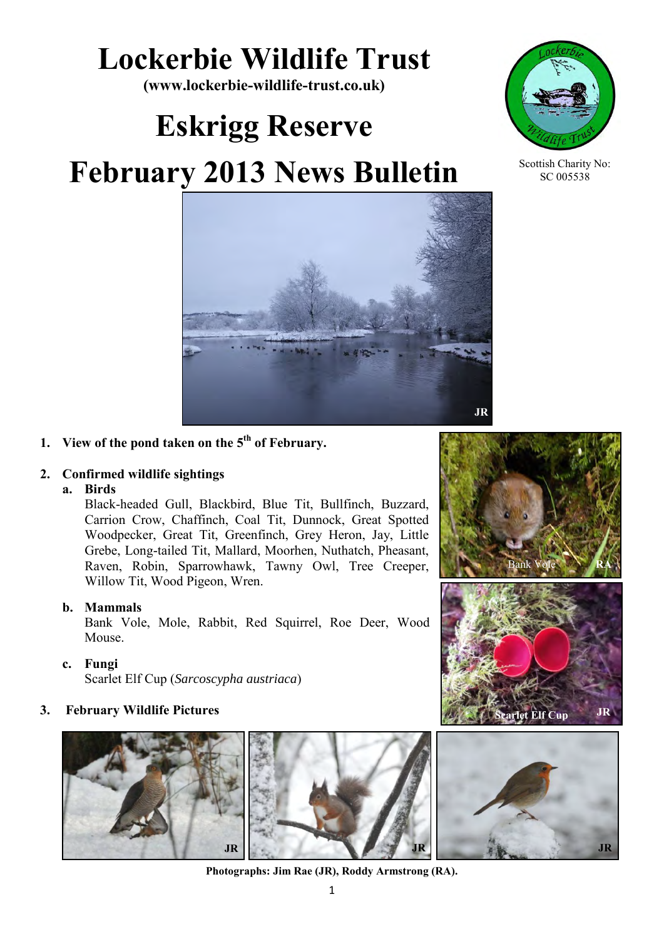# **Lockerbie Wildlife Trust**

**(www.lockerbie-wildlife-trust.co.uk)** 

# **Eskrigg Reserve**

# **February 2013 News Bulletin**





Scottish Charity No: SC 005538

# **1. View of the pond taken on the 5th of February.**

### **2. Confirmed wildlife sightings**

#### **a. Birds**

Black-headed Gull, Blackbird, Blue Tit, Bullfinch, Buzzard, Carrion Crow, Chaffinch, Coal Tit, Dunnock, Great Spotted Woodpecker, Great Tit, Greenfinch, Grey Heron, Jay, Little Grebe, Long-tailed Tit, Mallard, Moorhen, Nuthatch, Pheasant, Raven, Robin, Sparrowhawk, Tawny Owl, Tree Creeper, Willow Tit, Wood Pigeon, Wren.

#### **b. Mammals**

Bank Vole, Mole, Rabbit, Red Squirrel, Roe Deer, Wood Mouse.

**c. Fungi** 

Scarlet Elf Cup (*Sarcoscypha austriaca*)

### **3. February Wildlife Pictures**



**Photographs: Jim Rae (JR), Roddy Armstrong (RA).**





**Jet Elf Cup** 

**JR**

**JR**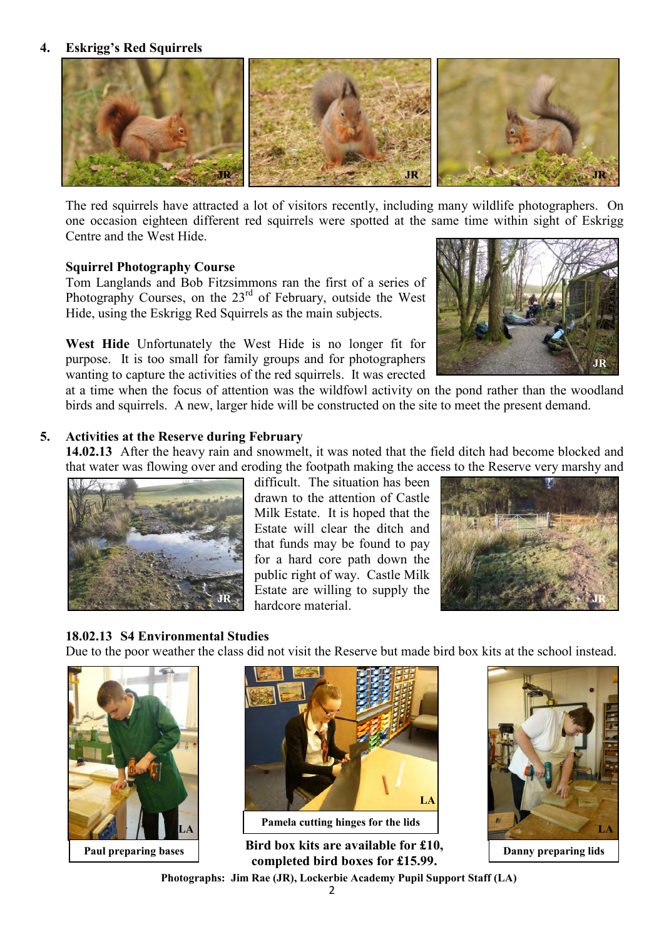#### **4. Eskrigg's Red Squirrels**



The red squirrels have attracted a lot of visitors recently, including many wildlife photographers. On one occasion eighteen different red squirrels were spotted at the same time within sight of Eskrigg Centre and the West Hide.

#### **Squirrel Photography Course**

Tom Langlands and Bob Fitzsimmons ran the first of a series of Photography Courses, on the  $23<sup>rd</sup>$  of February, outside the West Hide, using the Eskrigg Red Squirrels as the main subjects.

**West Hide** Unfortunately the West Hide is no longer fit for purpose. It is too small for family groups and for photographers wanting to capture the activities of the red squirrels. It was erected



at a time when the focus of attention was the wildfowl activity on the pond rather than the woodland birds and squirrels. A new, larger hide will be constructed on the site to meet the present demand.

#### **5. Activities at the Reserve during February**

**14.02.13** After the heavy rain and snowmelt, it was noted that the field ditch had become blocked and that water was flowing over and eroding the footpath making the access to the Reserve very marshy and



difficult. The situation has been drawn to the attention of Castle Milk Estate. It is hoped that the Estate will clear the ditch and that funds may be found to pay for a hard core path down the public right of way. Castle Milk Estate are willing to supply the hardcore material. **JR JR**



#### **18.02.13 S4 Environmental Studies**

Due to the poor weather the class did not visit the Reserve but made bird box kits at the school instead.





**Paul preparing bases Danny preparing lids Danny preparing lids Danny preparing lids** 



**completed bird boxes for £15.99. Photographs: Jim Rae (JR), Lockerbie Academy Pupil Support Staff (LA)**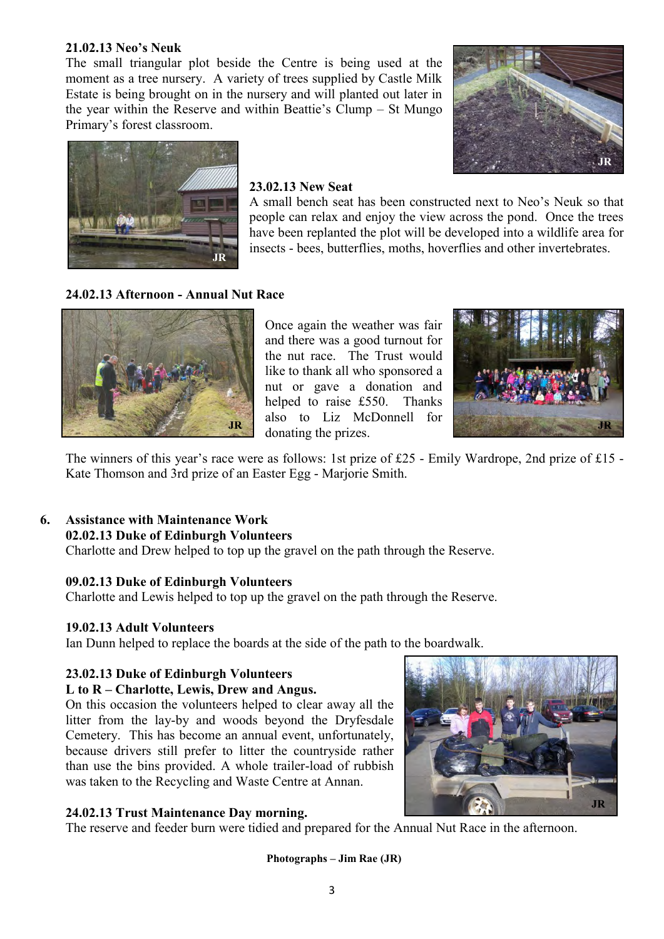#### **21.02.13 Neo's Neuk**

The small triangular plot beside the Centre is being used at the moment as a tree nursery. A variety of trees supplied by Castle Milk Estate is being brought on in the nursery and will planted out later in the year within the Reserve and within Beattie's Clump – St Mungo Primary's forest classroom.





#### **23.02.13 New Seat**

A small bench seat has been constructed next to Neo's Neuk so that people can relax and enjoy the view across the pond. Once the trees have been replanted the plot will be developed into a wildlife area for insects - bees, butterflies, moths, hoverflies and other invertebrates.

#### **24.02.13 Afternoon - Annual Nut Race**



Once again the weather was fair and there was a good turnout for the nut race. The Trust would like to thank all who sponsored a nut or gave a donation and helped to raise £550. Thanks also to Liz McDonnell for donating the prizes.



The winners of this year's race were as follows: 1st prize of £25 - Emily Wardrope, 2nd prize of £15 - Kate Thomson and 3rd prize of an Easter Egg - Marjorie Smith.

#### **6. Assistance with Maintenance Work 02.02.13 Duke of Edinburgh Volunteers**

Charlotte and Drew helped to top up the gravel on the path through the Reserve.

#### **09.02.13 Duke of Edinburgh Volunteers**

Charlotte and Lewis helped to top up the gravel on the path through the Reserve.

#### **19.02.13 Adult Volunteers**

Ian Dunn helped to replace the boards at the side of the path to the boardwalk.

#### **23.02.13 Duke of Edinburgh Volunteers**

#### **L to R – Charlotte, Lewis, Drew and Angus.**

On this occasion the volunteers helped to clear away all the litter from the lay-by and woods beyond the Dryfesdale Cemetery. This has become an annual event, unfortunately, because drivers still prefer to litter the countryside rather than use the bins provided. A whole trailer-load of rubbish was taken to the Recycling and Waste Centre at Annan.

#### **24.02.13 Trust Maintenance Day morning.**

The reserve and feeder burn were tidied and prepared for the Annual Nut Race in the afternoon.

**Photographs – Jim Rae (JR)**